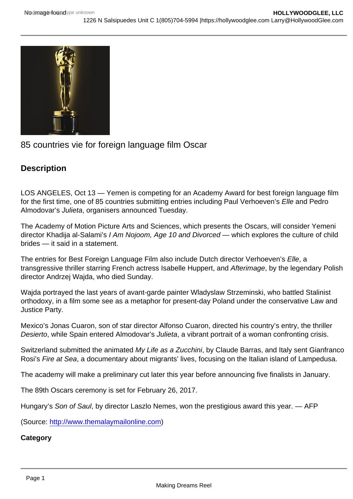## 85 countries vie for foreign language film Oscar

**Description** 

LOS ANGELES, Oct 13 — Yemen is competing for an Academy Award for best foreign language film for the first time, one of 85 countries submitting entries including Paul Verhoeven's Elle and Pedro Almodovar's Julieta, organisers announced Tuesday.

The Academy of Motion Picture Arts and Sciences, which presents the Oscars, will consider Yemeni director Khadija al-Salami's I Am Nojoom, Age 10 and Divorced — which explores the culture of child brides — it said in a statement.

The entries for Best Foreign Language Film also include Dutch director Verhoeven's Elle, a transgressive thriller starring French actress Isabelle Huppert, and Afterimage, by the legendary Polish director Andrzej Wajda, who died Sunday.

Wajda portrayed the last years of avant-garde painter Wladyslaw Strzeminski, who battled Stalinist orthodoxy, in a film some see as a metaphor for present-day Poland under the conservative Law and Justice Party.

Mexico's Jonas Cuaron, son of star director Alfonso Cuaron, directed his country's entry, the thriller Desierto, while Spain entered Almodovar's Julieta, a vibrant portrait of a woman confronting crisis.

Switzerland submitted the animated My Life as a Zucchini, by Claude Barras, and Italy sent Gianfranco Rosi's Fire at Sea, a documentary about migrants' lives, focusing on the Italian island of Lampedusa.

The academy will make a preliminary cut later this year before announcing five finalists in January.

The 89th Oscars ceremony is set for February 26, 2017.

Hungary's Son of Saul, by director Laszlo Nemes, won the prestigious award this year. — AFP

(Source: [http://www.themalaymailonline.com\)](http://www.themalaymailonline.com)

**Category**